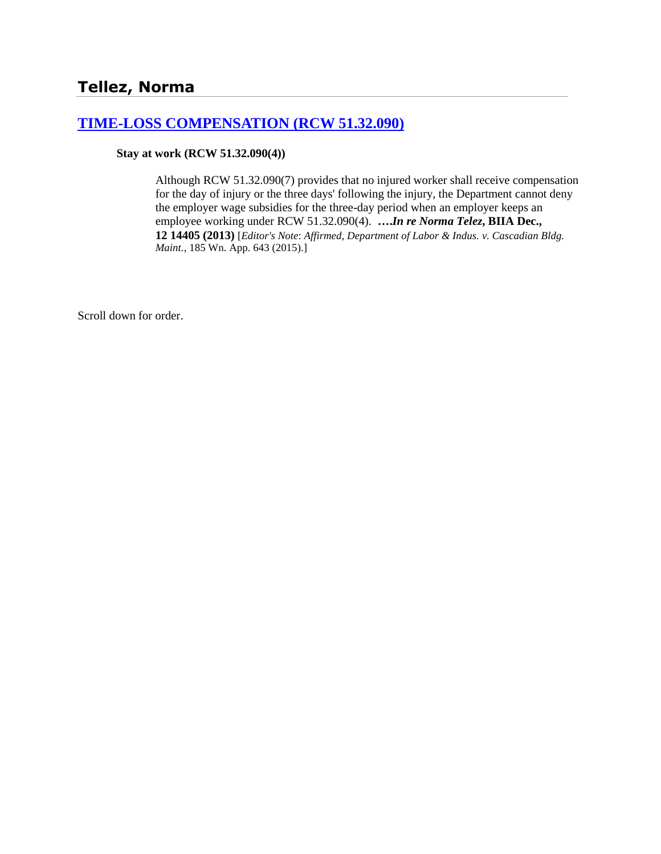# **[TIME-LOSS COMPENSATION \(RCW 51.32.090\)](http://www.biia.wa.gov/SDSubjectIndex.html#TIME_LOSS_COMPENSATION)**

#### **Stay at work (RCW 51.32.090(4))**

Although RCW 51.32.090(7) provides that no injured worker shall receive compensation for the day of injury or the three days' following the injury, the Department cannot deny the employer wage subsidies for the three-day period when an employer keeps an employee working under RCW 51.32.090(4). **….***In re Norma Telez***, BIIA Dec., 12 14405 (2013)** [*Editor's Note*: *Affirmed*, *Department of Labor & Indus. v. Cascadian Bldg. Maint.*, 185 Wn. App. 643 (2015).]

Scroll down for order.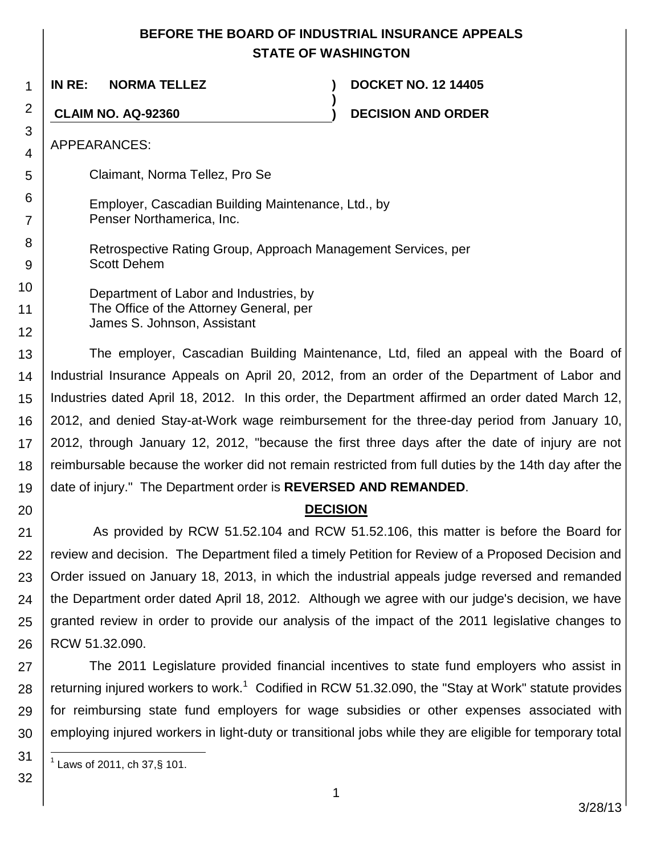## **BEFORE THE BOARD OF INDUSTRIAL INSURANCE APPEALS STATE OF WASHINGTON**

**)**

1 **IN RE: NORMA TELLEZ ) DOCKET NO. 12 14405**

**CLAIM NO. AQ-92360 ) DECISION AND ORDER**

APPEARANCES:

2

3 4

5

6

7

8 9 Claimant, Norma Tellez, Pro Se

- Employer, Cascadian Building Maintenance, Ltd., by Penser Northamerica, Inc.
	- Retrospective Rating Group, Approach Management Services, per Scott Dehem

10 11 12 Department of Labor and Industries, by The Office of the Attorney General, per James S. Johnson, Assistant

13 14 15 16 17 18 19 The employer, Cascadian Building Maintenance, Ltd, filed an appeal with the Board of Industrial Insurance Appeals on April 20, 2012, from an order of the Department of Labor and Industries dated April 18, 2012. In this order, the Department affirmed an order dated March 12, 2012, and denied Stay-at-Work wage reimbursement for the three-day period from January 10, 2012, through January 12, 2012, "because the first three days after the date of injury are not reimbursable because the worker did not remain restricted from full duties by the 14th day after the date of injury." The Department order is **REVERSED AND REMANDED**.

## **DECISION**

21 22 23 24 25 26 As provided by RCW 51.52.104 and RCW 51.52.106, this matter is before the Board for review and decision. The Department filed a timely Petition for Review of a Proposed Decision and Order issued on January 18, 2013, in which the industrial appeals judge reversed and remanded the Department order dated April 18, 2012. Although we agree with our judge's decision, we have granted review in order to provide our analysis of the impact of the 2011 legislative changes to RCW 51.32.090.

27 28 29 30 The 2011 Legislature provided financial incentives to state fund employers who assist in returning injured workers to work.<sup>1</sup> Codified in RCW 51.32.090, the "Stay at Work" statute provides for reimbursing state fund employers for wage subsidies or other expenses associated with employing injured workers in light-duty or transitional jobs while they are eligible for temporary total

31 l  $^{1}$  Laws of 2011, ch 37,§ 101.

32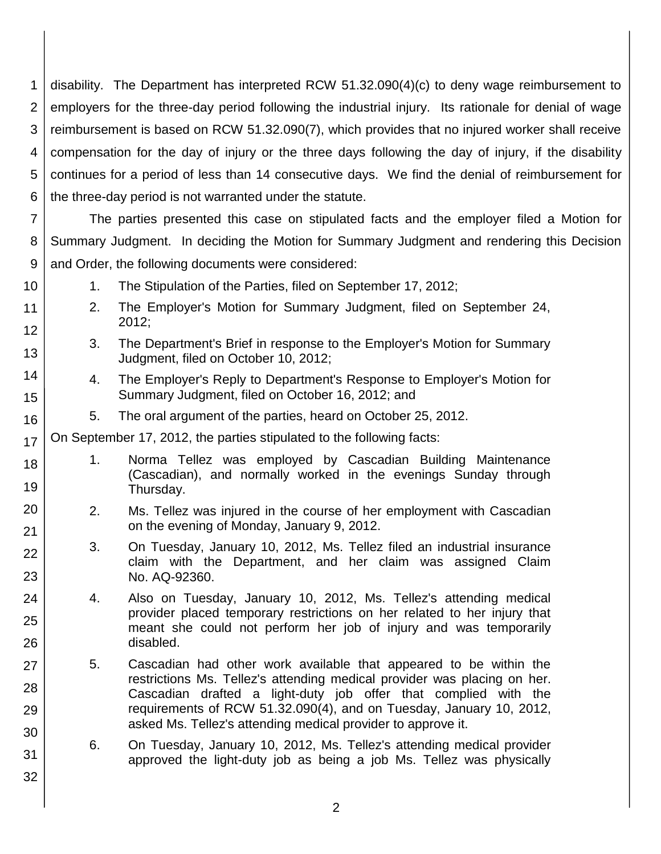1 2 3 4 5 6 disability. The Department has interpreted RCW 51.32.090(4)(c) to deny wage reimbursement to employers for the three-day period following the industrial injury. Its rationale for denial of wage reimbursement is based on RCW 51.32.090(7), which provides that no injured worker shall receive compensation for the day of injury or the three days following the day of injury, if the disability continues for a period of less than 14 consecutive days. We find the denial of reimbursement for the three-day period is not warranted under the statute.

7 8 9 The parties presented this case on stipulated facts and the employer filed a Motion for Summary Judgment. In deciding the Motion for Summary Judgment and rendering this Decision and Order, the following documents were considered:

11 12 13

14

15

16

18

19

20

21 22

23

24

25

26

27

28

29

30

31

32

10

- 1. The Stipulation of the Parties, filed on September 17, 2012;
- 2. The Employer's Motion for Summary Judgment, filed on September 24, 2012;
- 3. The Department's Brief in response to the Employer's Motion for Summary Judgment, filed on October 10, 2012;
	- 4. The Employer's Reply to Department's Response to Employer's Motion for Summary Judgment, filed on October 16, 2012; and
	- 5. The oral argument of the parties, heard on October 25, 2012.

17 On September 17, 2012, the parties stipulated to the following facts:

- 1. Norma Tellez was employed by Cascadian Building Maintenance (Cascadian), and normally worked in the evenings Sunday through Thursday.
- 2. Ms. Tellez was injured in the course of her employment with Cascadian on the evening of Monday, January 9, 2012.
- 3. On Tuesday, January 10, 2012, Ms. Tellez filed an industrial insurance claim with the Department, and her claim was assigned Claim No. AQ-92360.
- 4. Also on Tuesday, January 10, 2012, Ms. Tellez's attending medical provider placed temporary restrictions on her related to her injury that meant she could not perform her job of injury and was temporarily disabled.
- 5. Cascadian had other work available that appeared to be within the restrictions Ms. Tellez's attending medical provider was placing on her. Cascadian drafted a light-duty job offer that complied with the requirements of RCW 51.32.090(4), and on Tuesday, January 10, 2012, asked Ms. Tellez's attending medical provider to approve it.
	- 6. On Tuesday, January 10, 2012, Ms. Tellez's attending medical provider approved the light-duty job as being a job Ms. Tellez was physically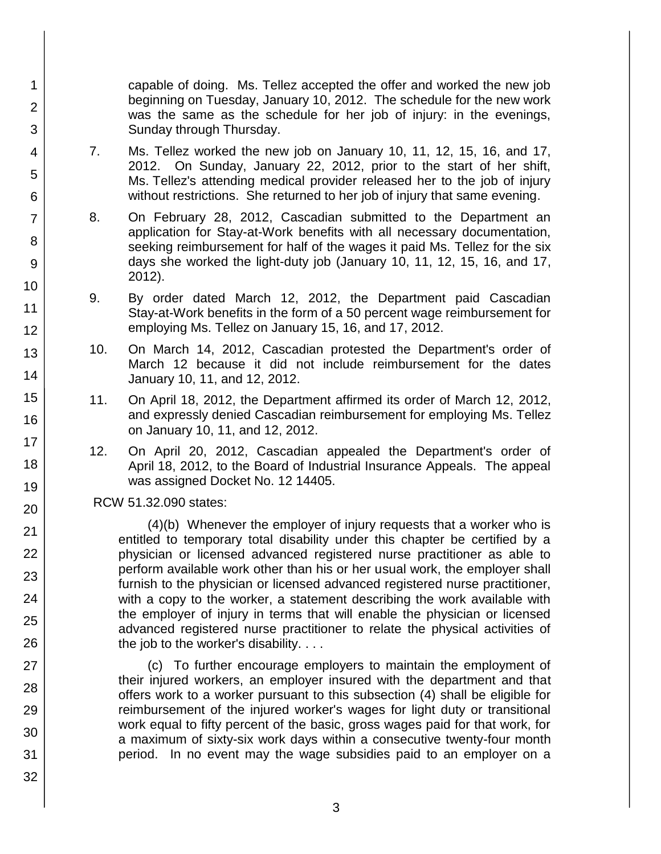capable of doing. Ms. Tellez accepted the offer and worked the new job beginning on Tuesday, January 10, 2012. The schedule for the new work was the same as the schedule for her job of injury: in the evenings, Sunday through Thursday.

- 7. Ms. Tellez worked the new job on January 10, 11, 12, 15, 16, and 17, 2012. On Sunday, January 22, 2012, prior to the start of her shift, Ms. Tellez's attending medical provider released her to the job of injury without restrictions. She returned to her job of injury that same evening.
- 8. On February 28, 2012, Cascadian submitted to the Department an application for Stay-at-Work benefits with all necessary documentation, seeking reimbursement for half of the wages it paid Ms. Tellez for the six days she worked the light-duty job (January 10, 11, 12, 15, 16, and 17, 2012).
- 9. By order dated March 12, 2012, the Department paid Cascadian Stay-at-Work benefits in the form of a 50 percent wage reimbursement for employing Ms. Tellez on January 15, 16, and 17, 2012.
- 10. On March 14, 2012, Cascadian protested the Department's order of March 12 because it did not include reimbursement for the dates January 10, 11, and 12, 2012.
- 11. On April 18, 2012, the Department affirmed its order of March 12, 2012, and expressly denied Cascadian reimbursement for employing Ms. Tellez on January 10, 11, and 12, 2012.
- 12. On April 20, 2012, Cascadian appealed the Department's order of April 18, 2012, to the Board of Industrial Insurance Appeals. The appeal was assigned Docket No. 12 14405.

RCW 51.32.090 states:

(4)(b) Whenever the employer of injury requests that a worker who is entitled to temporary total disability under this chapter be certified by a physician or licensed advanced registered nurse practitioner as able to perform available work other than his or her usual work, the employer shall furnish to the physician or licensed advanced registered nurse practitioner, with a copy to the worker, a statement describing the work available with the employer of injury in terms that will enable the physician or licensed advanced registered nurse practitioner to relate the physical activities of the job to the worker's disability. . . .

(c) To further encourage employers to maintain the employment of their injured workers, an employer insured with the department and that offers work to a worker pursuant to this subsection (4) shall be eligible for reimbursement of the injured worker's wages for light duty or transitional work equal to fifty percent of the basic, gross wages paid for that work, for a maximum of sixty-six work days within a consecutive twenty-four month period. In no event may the wage subsidies paid to an employer on a

1

2

3

4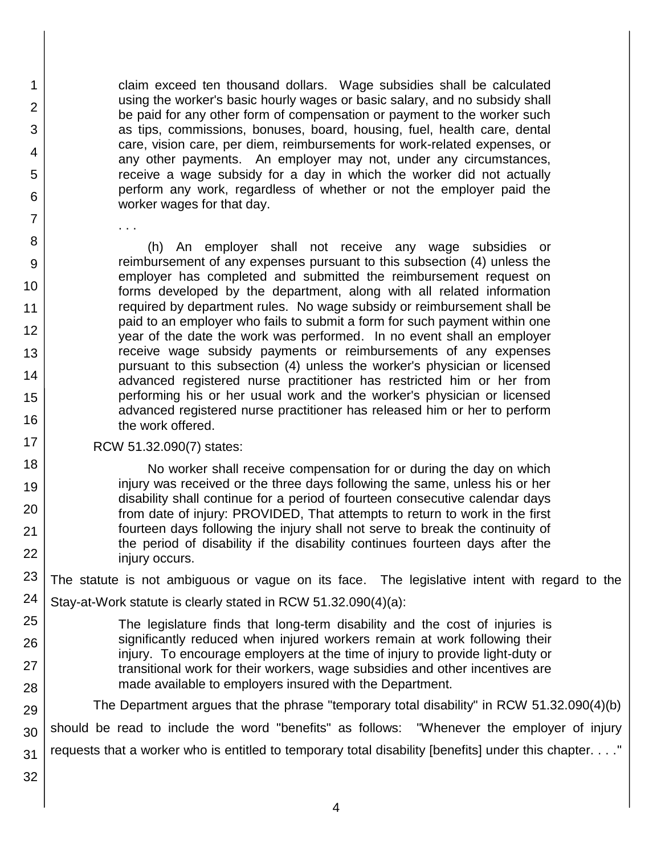claim exceed ten thousand dollars. Wage subsidies shall be calculated using the worker's basic hourly wages or basic salary, and no subsidy shall be paid for any other form of compensation or payment to the worker such as tips, commissions, bonuses, board, housing, fuel, health care, dental care, vision care, per diem, reimbursements for work-related expenses, or any other payments. An employer may not, under any circumstances, receive a wage subsidy for a day in which the worker did not actually perform any work, regardless of whether or not the employer paid the worker wages for that day.

(h) An employer shall not receive any wage subsidies or reimbursement of any expenses pursuant to this subsection (4) unless the employer has completed and submitted the reimbursement request on forms developed by the department, along with all related information required by department rules. No wage subsidy or reimbursement shall be paid to an employer who fails to submit a form for such payment within one year of the date the work was performed. In no event shall an employer receive wage subsidy payments or reimbursements of any expenses pursuant to this subsection (4) unless the worker's physician or licensed advanced registered nurse practitioner has restricted him or her from performing his or her usual work and the worker's physician or licensed advanced registered nurse practitioner has released him or her to perform the work offered.

#### RCW 51.32.090(7) states:

. . .

No worker shall receive compensation for or during the day on which injury was received or the three days following the same, unless his or her disability shall continue for a period of fourteen consecutive calendar days from date of injury: PROVIDED, That attempts to return to work in the first fourteen days following the injury shall not serve to break the continuity of the period of disability if the disability continues fourteen days after the injury occurs.

23 The statute is not ambiguous or vague on its face. The legislative intent with regard to the

- 24 Stay-at-Work statute is clearly stated in RCW 51.32.090(4)(a):
- 25 26 27 28 The legislature finds that long-term disability and the cost of injuries is significantly reduced when injured workers remain at work following their injury. To encourage employers at the time of injury to provide light-duty or transitional work for their workers, wage subsidies and other incentives are made available to employers insured with the Department.

29 30 31 The Department argues that the phrase "temporary total disability" in RCW 51.32.090(4)(b) should be read to include the word "benefits" as follows: "Whenever the employer of injury requests that a worker who is entitled to temporary total disability [benefits] under this chapter. . . ."

32

1

2

3

4

5

6

7

8

9

10

11 12

13

14

15

16

17

18

19

20

21

22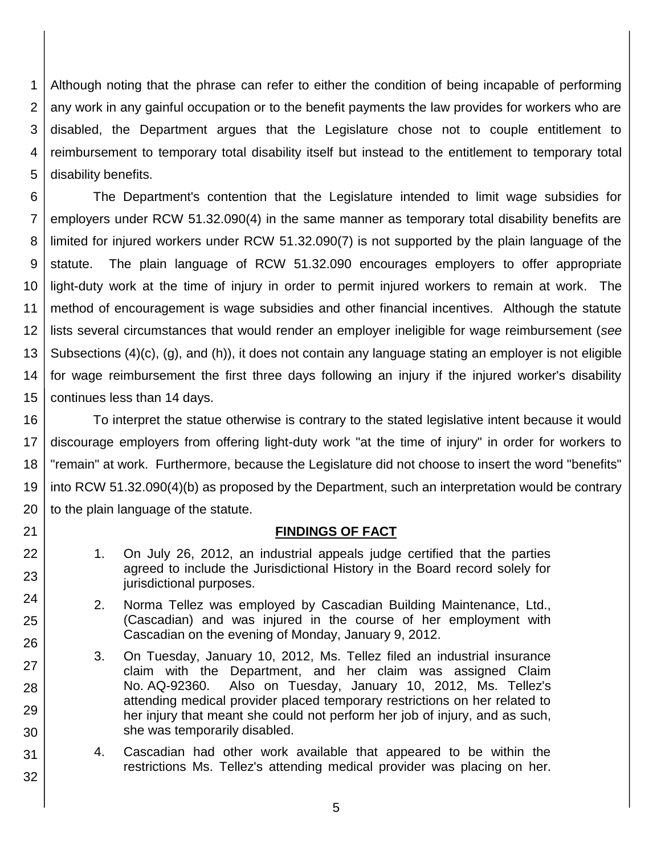1 2 3 4 5 Although noting that the phrase can refer to either the condition of being incapable of performing any work in any gainful occupation or to the benefit payments the law provides for workers who are disabled, the Department argues that the Legislature chose not to couple entitlement to reimbursement to temporary total disability itself but instead to the entitlement to temporary total disability benefits.

6 7 8 9 10 11 12 13 14 15 The Department's contention that the Legislature intended to limit wage subsidies for employers under RCW 51.32.090(4) in the same manner as temporary total disability benefits are limited for injured workers under RCW 51.32.090(7) is not supported by the plain language of the statute. The plain language of RCW 51.32.090 encourages employers to offer appropriate light-duty work at the time of injury in order to permit injured workers to remain at work. The method of encouragement is wage subsidies and other financial incentives. Although the statute lists several circumstances that would render an employer ineligible for wage reimbursement (*see* Subsections (4)(c), (g), and (h)), it does not contain any language stating an employer is not eligible for wage reimbursement the first three days following an injury if the injured worker's disability continues less than 14 days.

16 17 18 19 20 To interpret the statue otherwise is contrary to the stated legislative intent because it would discourage employers from offering light-duty work "at the time of injury" in order for workers to "remain" at work. Furthermore, because the Legislature did not choose to insert the word "benefits" into RCW 51.32.090(4)(b) as proposed by the Department, such an interpretation would be contrary to the plain language of the statute.

#### **FINDINGS OF FACT**

1. On July 26, 2012, an industrial appeals judge certified that the parties agreed to include the Jurisdictional History in the Board record solely for jurisdictional purposes.

21

22

23

24

25

26

27

28

29

30

31

- 2. Norma Tellez was employed by Cascadian Building Maintenance, Ltd., (Cascadian) and was injured in the course of her employment with Cascadian on the evening of Monday, January 9, 2012.
- 3. On Tuesday, January 10, 2012, Ms. Tellez filed an industrial insurance claim with the Department, and her claim was assigned Claim No. AQ-92360. Also on Tuesday, January 10, 2012, Ms. Tellez's attending medical provider placed temporary restrictions on her related to her injury that meant she could not perform her job of injury, and as such, she was temporarily disabled.
- 4. Cascadian had other work available that appeared to be within the restrictions Ms. Tellez's attending medical provider was placing on her.
	- 5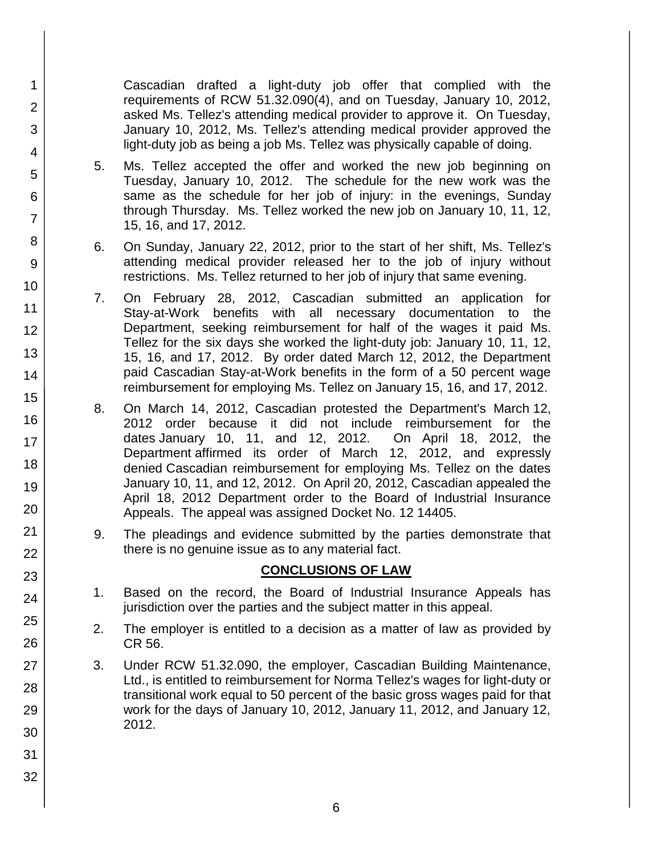Cascadian drafted a light-duty job offer that complied with the requirements of RCW 51.32.090(4), and on Tuesday, January 10, 2012, asked Ms. Tellez's attending medical provider to approve it. On Tuesday, January 10, 2012, Ms. Tellez's attending medical provider approved the light-duty job as being a job Ms. Tellez was physically capable of doing.

5. Ms. Tellez accepted the offer and worked the new job beginning on Tuesday, January 10, 2012. The schedule for the new work was the same as the schedule for her job of injury: in the evenings, Sunday through Thursday. Ms. Tellez worked the new job on January 10, 11, 12, 15, 16, and 17, 2012.

1

2

3

4

5

6

7

8

9

10

11

12

13

14

15

16

17

18

19

20

21

22

23

24

25

26

27

28

29 30

31

32

- 6. On Sunday, January 22, 2012, prior to the start of her shift, Ms. Tellez's attending medical provider released her to the job of injury without restrictions. Ms. Tellez returned to her job of injury that same evening.
- 7. On February 28, 2012, Cascadian submitted an application for Stay-at-Work benefits with all necessary documentation to the Department, seeking reimbursement for half of the wages it paid Ms. Tellez for the six days she worked the light-duty job: January 10, 11, 12, 15, 16, and 17, 2012. By order dated March 12, 2012, the Department paid Cascadian Stay-at-Work benefits in the form of a 50 percent wage reimbursement for employing Ms. Tellez on January 15, 16, and 17, 2012.
- 8. On March 14, 2012, Cascadian protested the Department's March 12, 2012 order because it did not include reimbursement for the dates January 10, 11, and 12, 2012. On April 18, 2012, the Department affirmed its order of March 12, 2012, and expressly denied Cascadian reimbursement for employing Ms. Tellez on the dates January 10, 11, and 12, 2012. On April 20, 2012, Cascadian appealed the April 18, 2012 Department order to the Board of Industrial Insurance Appeals. The appeal was assigned Docket No. 12 14405.
- 9. The pleadings and evidence submitted by the parties demonstrate that there is no genuine issue as to any material fact.

## **CONCLUSIONS OF LAW**

- 1. Based on the record, the Board of Industrial Insurance Appeals has jurisdiction over the parties and the subject matter in this appeal.
- 2. The employer is entitled to a decision as a matter of law as provided by CR 56.
- 3. Under RCW 51.32.090, the employer, Cascadian Building Maintenance, Ltd., is entitled to reimbursement for Norma Tellez's wages for light-duty or transitional work equal to 50 percent of the basic gross wages paid for that work for the days of January 10, 2012, January 11, 2012, and January 12, 2012.
	- 6